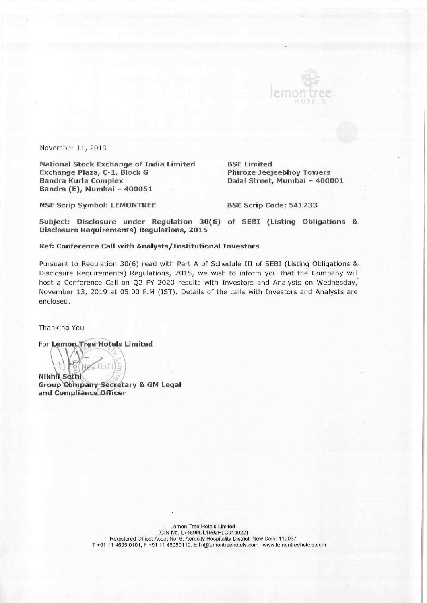November 11, 2019

National Stock Exchange of India Limited BSE Limited Exchange Plaza, C-1, Block G Phiroze Jeejeebhoy Towers Bandra Kurla Complex Dalal Street, Mumbai — 400001 Bandra (E), Mumbai - 400051

L

NSE Scrip Symbol: LEMONTREE BSE Scrip Code: 541233

Subject: Disclosure under Regulation 30(6) of SEBI (Listing Obligations & Disclosure Requirements) Regulations, 2015

#### Ref: Conference Call with Analysts/Institutional Investors

Pursuant to Regulation 30(6) read with Part A of Schedule III of SEBI (Listing Obligations &. Disclosure Requirements) Regulations, 2015, we wish to inform you that the Company will host a Conference Call on Q2 FY 2020 results with Investors and Analysts on Wednesday, November 13, 2019 at 05.00 P.M (IST). Details of the calls with Investors and Analysts are enclosed.

Thanking You

For Lemon Tree Hotels Limited

W Delhi  $N$ ikhil Sethi $\binom{1}{5}$ Group Company Secretary & GM Legal and Compliance Officer

> Lemon Tree Hotels Limited (CIN No. L74899DL1992PLC049022) Registered Office: Asset No. 6, Aerocity Hospitality District, New Delhi-110037 T +91 11 4605 0101, F +91 11 46050110. E hi@lemontreehotels.com www.lemontreehotels.com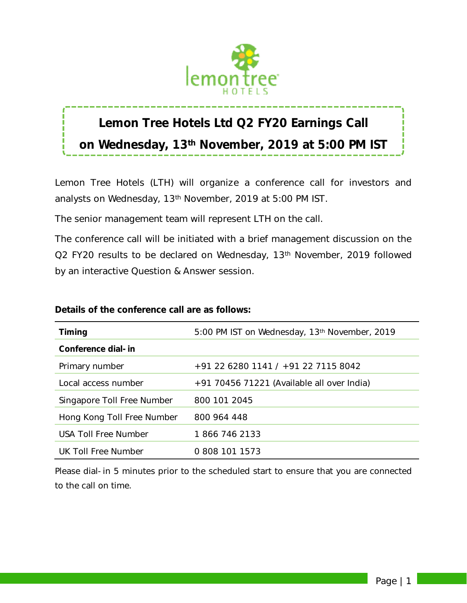

# **Lemon Tree Hotels Ltd Q2 FY20 Earnings Call on Wednesday, 13th November, 2019 at 5:00 PM IST**

Lemon Tree Hotels (LTH) will organize a conference call for investors and analysts on Wednesday, 13th November, 2019 at 5:00 PM IST.

The senior management team will represent LTH on the call.

The conference call will be initiated with a brief management discussion on the Q2 FY20 results to be declared on Wednesday, 13<sup>th</sup> November, 2019 followed by an interactive Question & Answer session.

| <b>Timing</b>              | 5:00 PM IST on Wednesday, 13th November, 2019 |  |  |
|----------------------------|-----------------------------------------------|--|--|
| Conference dial-in         |                                               |  |  |
| Primary number             | +91 22 6280 1141 / +91 22 7115 8042           |  |  |
| Local access number        | $+91$ 70456 71221 (Available all over India)  |  |  |
| Singapore Toll Free Number | 800 101 2045                                  |  |  |
| Hong Kong Toll Free Number | 800 964 448                                   |  |  |
| USA Toll Free Number       | 1 866 746 2133                                |  |  |
| UK Toll Free Number        | 0.808 101 1573                                |  |  |

### **Details of the conference call are as follows:**

*Please dial-in 5 minutes prior to the scheduled start to ensure that you are connected to the call on time.*